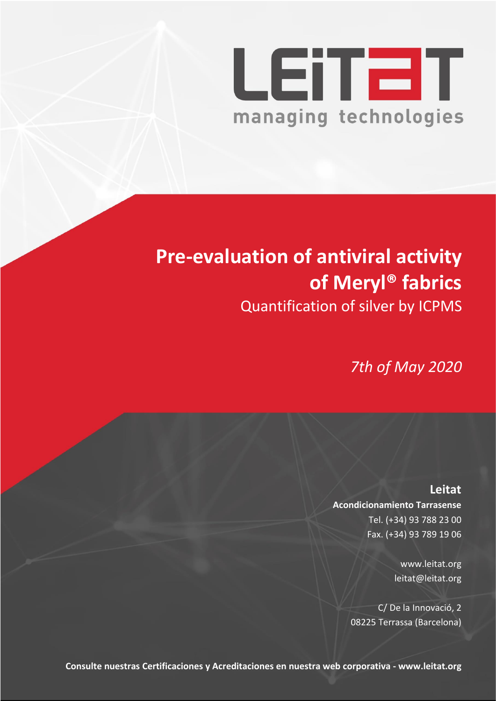

# **Pre-evaluation of antiviral activity of Meryl® fabrics** Quantification of silver by ICPMS

*7th of May 2020* 

**Leitat Acondicionamiento Tarrasense** Tel. (+34) 93 788 23 00 Fax. (+34) 93 789 19 06

> www.leitat.org leitat@leitat.org

C/ De la Innovació, 2 08225 Terrassa (Barcelona)

**Consulte nuestras Certificaciones y Acreditaciones en nuestra web corporativa - www.leitat.org**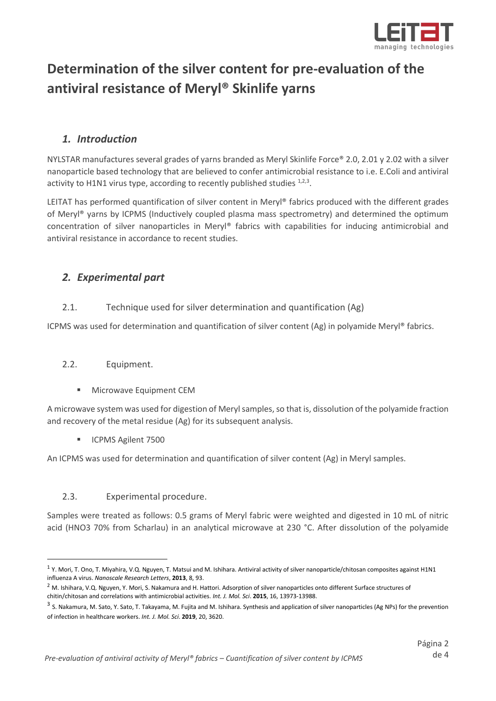<span id="page-1-2"></span><span id="page-1-1"></span><span id="page-1-0"></span>

# **Determination of the silver content for pre-evaluation of the antiviral resistance of Meryl® Skinlife yarns**

## *1. Introduction*

NYLSTAR manufactures several grades of yarns branded as Meryl Skinlife Force® 2.0, 2.01 y 2.02 with a silver nanoparticle based technology that are believed to confer antimicrobial resistance to i.e. E.Coli and antiviral activity to H1N1 virus type, according to recently published studies  $1,2,3$ .

LEITAT has performed quantification of silver content in Meryl® fabrics produced with the different grades of Meryl® yarns by ICPMS (Inductively coupled plasma mass spectrometry) and determined the optimum concentration of silver nanoparticles in Meryl® fabrics with capabilities for inducing antimicrobial and antiviral resistance in accordance to recent studies.

# *2. Experimental part*

#### 2.1. Technique used for silver determination and quantification (Ag)

ICPMS was used for determination and quantification of silver content (Ag) in polyamide Meryl® fabrics.

#### 2.2. Equipment.

Microwave Equipment CEM

A microwave system was used for digestion of Meryl samples, so that is, dissolution of the polyamide fraction and recovery of the metal residue (Ag) for its subsequent analysis.

■ ICPMS Agilent 7500

An ICPMS was used for determination and quantification of silver content (Ag) in Meryl samples.

#### 2.3. Experimental procedure.

Samples were treated as follows: 0.5 grams of Meryl fabric were weighted and digested in 10 mL of nitric acid (HNO3 70% from Scharlau) in an analytical microwave at 230 °C. After dissolution of the polyamide

 $1$  Y. Mori, T. Ono, T. Miyahira, V.Q. Nguyen, T. Matsui and M. Ishihara. Antiviral activity of silver nanoparticle/chitosan composites against H1N1 influenza A virus. *Nanoscale Research Letters*, **2013**, 8, 93.

<sup>&</sup>lt;sup>2</sup> M. Ishihara, V.Q. Nguyen, Y. Mori, S. Nakamura and H. Hattori. Adsorption of silver nanoparticles onto different Surface structures of chitin/chitosan and correlations with antimicrobial activities. *Int. J. Mol. Sci*. **2015**, 16, 13973-13988.

<sup>&</sup>lt;sup>3</sup> S. Nakamura, M. Sato, Y. Sato, T. Takayama, M. Fujita and M. Ishihara. Synthesis and application of silver nanoparticles (Ag NPs) for the prevention of infection in healthcare workers. *Int. J. Mol. Sci*. **2019**, 20, 3620.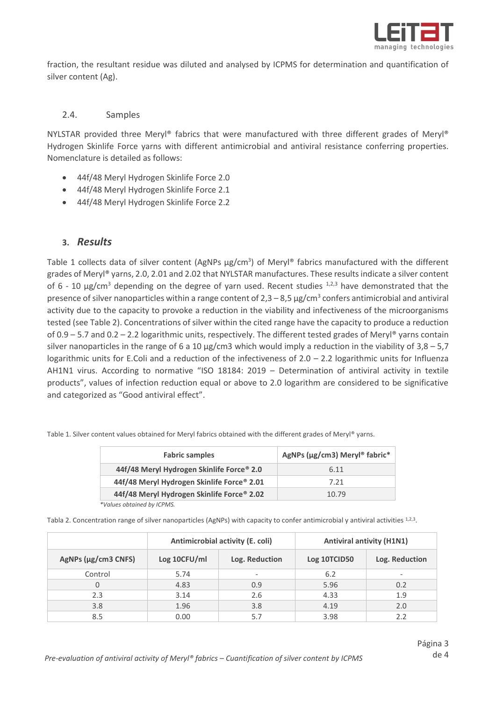

fraction, the resultant residue was diluted and analysed by ICPMS for determination and quantification of silver content (Ag).

#### 2.4. Samples

NYLSTAR provided three Meryl® fabrics that were manufactured with three different grades of Meryl® Hydrogen Skinlife Force yarns with different antimicrobial and antiviral resistance conferring properties. Nomenclature is detailed as follows:

- 44f/48 Meryl Hydrogen Skinlife Force 2.0
- 44f/48 Meryl Hydrogen Skinlife Force 2.1
- 44f/48 Meryl Hydrogen Skinlife Force 2.2

#### **3.** *Results*

Table 1 collects data of silver content (AgNPs  $\mu$ g/cm<sup>3</sup>) of Meryl® fabrics manufactured with the different grades of Meryl® yarns, 2.0, 2.01 and 2.02 that NYLSTAR manufactures. These results indicate a silver content of 6 - 10  $\mu$ g/cm<sup>[3](#page-1-2)</sup> depending on the degree of yarn used. Recent studies  $^{1,2,3}$  $^{1,2,3}$  $^{1,2,3}$  $^{1,2,3}$  have demonstrated that the presence of silver nanoparticles within a range content of  $2,3-8,5$   $\mu$ g/cm<sup>3</sup> confers antimicrobial and antiviral activity due to the capacity to provoke a reduction in the viability and infectiveness of the microorganisms tested (see Table 2). Concentrations of silver within the cited range have the capacity to produce a reduction of 0.9 – 5.7 and 0.2 – 2.2 logarithmic units, respectively. The different tested grades of Meryl® yarns contain silver nanoparticles in the range of 6 a 10  $\mu$ g/cm3 which would imply a reduction in the viability of 3,8 – 5,7 logarithmic units for E.Coli and a reduction of the infectiveness of  $2.0 - 2.2$  logarithmic units for Influenza AH1N1 virus. According to normative "ISO 18184: 2019 – Determination of antiviral activity in textile products", values of infection reduction equal or above to 2.0 logarithm are considered to be significative and categorized as "Good antiviral effect".

| <b>Fabric samples</b>                      | AgNPs (µg/cm3) Meryl® fabric* |  |
|--------------------------------------------|-------------------------------|--|
| 44f/48 Meryl Hydrogen Skinlife Force® 2.0  | 6.11                          |  |
| 44f/48 Meryl Hydrogen Skinlife Force® 2.01 | 7.21                          |  |
| 44f/48 Meryl Hydrogen Skinlife Force® 2.02 | 10.79                         |  |

Table 1. Silver content values obtained for Meryl fabrics obtained with the different grades of Meryl® yarns.

 *\*Values obtained by ICPMS.*

Tabla 2. Concentration range of silver nanoparticles (AgNPs) with capacity to confer antimicrobial y antiviral activities [1,](#page-1-0)[2,](#page-1-1)[3](#page-1-2).

|                     | Antimicrobial activity (E. coli) |                | <b>Antiviral antivity (H1N1)</b> |                |
|---------------------|----------------------------------|----------------|----------------------------------|----------------|
| AgNPs (µg/cm3 CNFS) | Log 10CFU/ml                     | Log. Reduction | Log 10TCID50                     | Log. Reduction |
| Control             | 5.74                             |                | 6.2                              |                |
|                     | 4.83                             | 0.9            | 5.96                             | 0.2            |
| 2.3                 | 3.14                             | 2.6            | 4.33                             | 1.9            |
| 3.8                 | 1.96                             | 3.8            | 4.19                             | 2.0            |
| 8.5                 | 0.00                             | 5.7            | 3.98                             | 2.2            |